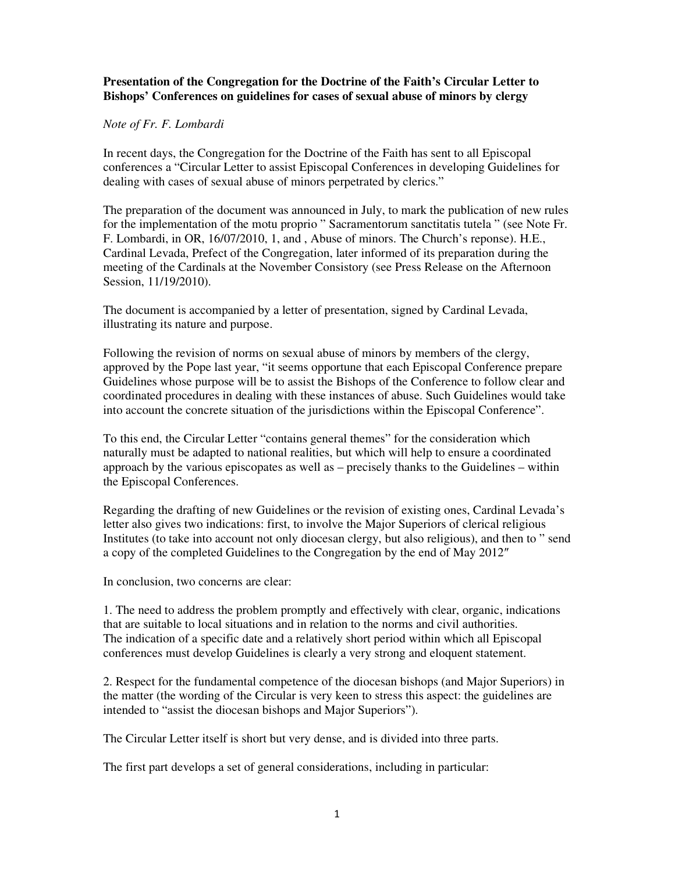## **Presentation of the Congregation for the Doctrine of the Faith's Circular Letter to Bishops' Conferences on guidelines for cases of sexual abuse of minors by clergy**

## *Note of Fr. F. Lombardi*

In recent days, the Congregation for the Doctrine of the Faith has sent to all Episcopal conferences a "Circular Letter to assist Episcopal Conferences in developing Guidelines for dealing with cases of sexual abuse of minors perpetrated by clerics."

The preparation of the document was announced in July, to mark the publication of new rules for the implementation of the motu proprio " Sacramentorum sanctitatis tutela " (see Note Fr. F. Lombardi, in OR, 16/07/2010, 1, and , Abuse of minors. The Church's reponse). H.E., Cardinal Levada, Prefect of the Congregation, later informed of its preparation during the meeting of the Cardinals at the November Consistory (see Press Release on the Afternoon Session, 11/19/2010).

The document is accompanied by a letter of presentation, signed by Cardinal Levada, illustrating its nature and purpose.

Following the revision of norms on sexual abuse of minors by members of the clergy, approved by the Pope last year, "it seems opportune that each Episcopal Conference prepare Guidelines whose purpose will be to assist the Bishops of the Conference to follow clear and coordinated procedures in dealing with these instances of abuse. Such Guidelines would take into account the concrete situation of the jurisdictions within the Episcopal Conference".

To this end, the Circular Letter "contains general themes" for the consideration which naturally must be adapted to national realities, but which will help to ensure a coordinated approach by the various episcopates as well as – precisely thanks to the Guidelines – within the Episcopal Conferences.

Regarding the drafting of new Guidelines or the revision of existing ones, Cardinal Levada's letter also gives two indications: first, to involve the Major Superiors of clerical religious Institutes (to take into account not only diocesan clergy, but also religious), and then to " send a copy of the completed Guidelines to the Congregation by the end of May 2012″

In conclusion, two concerns are clear:

1. The need to address the problem promptly and effectively with clear, organic, indications that are suitable to local situations and in relation to the norms and civil authorities. The indication of a specific date and a relatively short period within which all Episcopal conferences must develop Guidelines is clearly a very strong and eloquent statement.

2. Respect for the fundamental competence of the diocesan bishops (and Major Superiors) in the matter (the wording of the Circular is very keen to stress this aspect: the guidelines are intended to "assist the diocesan bishops and Major Superiors").

The Circular Letter itself is short but very dense, and is divided into three parts.

The first part develops a set of general considerations, including in particular: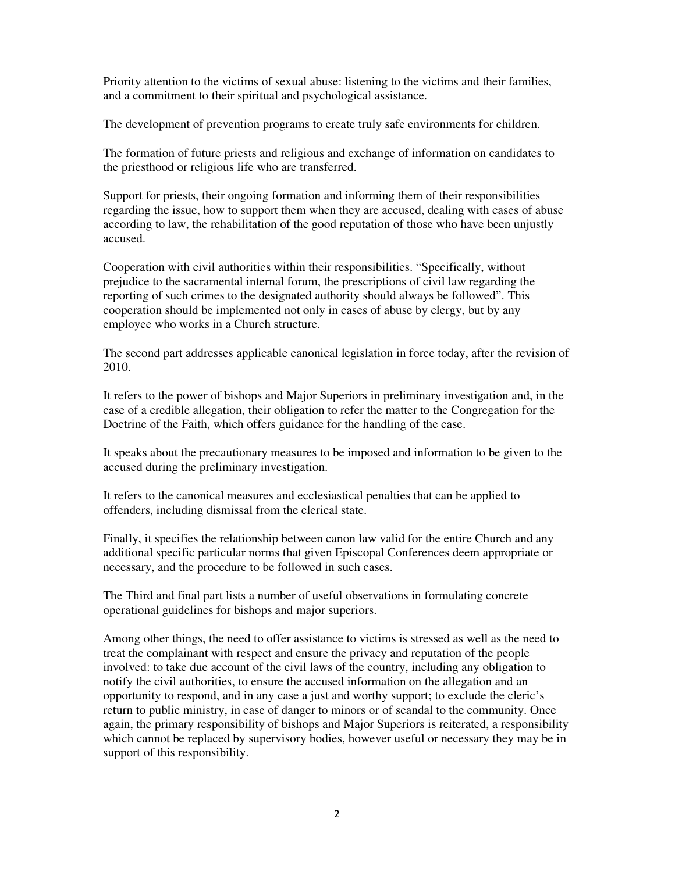Priority attention to the victims of sexual abuse: listening to the victims and their families, and a commitment to their spiritual and psychological assistance.

The development of prevention programs to create truly safe environments for children.

The formation of future priests and religious and exchange of information on candidates to the priesthood or religious life who are transferred.

Support for priests, their ongoing formation and informing them of their responsibilities regarding the issue, how to support them when they are accused, dealing with cases of abuse according to law, the rehabilitation of the good reputation of those who have been unjustly accused.

Cooperation with civil authorities within their responsibilities. "Specifically, without prejudice to the sacramental internal forum, the prescriptions of civil law regarding the reporting of such crimes to the designated authority should always be followed". This cooperation should be implemented not only in cases of abuse by clergy, but by any employee who works in a Church structure.

The second part addresses applicable canonical legislation in force today, after the revision of 2010.

It refers to the power of bishops and Major Superiors in preliminary investigation and, in the case of a credible allegation, their obligation to refer the matter to the Congregation for the Doctrine of the Faith, which offers guidance for the handling of the case.

It speaks about the precautionary measures to be imposed and information to be given to the accused during the preliminary investigation.

It refers to the canonical measures and ecclesiastical penalties that can be applied to offenders, including dismissal from the clerical state.

Finally, it specifies the relationship between canon law valid for the entire Church and any additional specific particular norms that given Episcopal Conferences deem appropriate or necessary, and the procedure to be followed in such cases.

The Third and final part lists a number of useful observations in formulating concrete operational guidelines for bishops and major superiors.

Among other things, the need to offer assistance to victims is stressed as well as the need to treat the complainant with respect and ensure the privacy and reputation of the people involved: to take due account of the civil laws of the country, including any obligation to notify the civil authorities, to ensure the accused information on the allegation and an opportunity to respond, and in any case a just and worthy support; to exclude the cleric's return to public ministry, in case of danger to minors or of scandal to the community. Once again, the primary responsibility of bishops and Major Superiors is reiterated, a responsibility which cannot be replaced by supervisory bodies, however useful or necessary they may be in support of this responsibility.